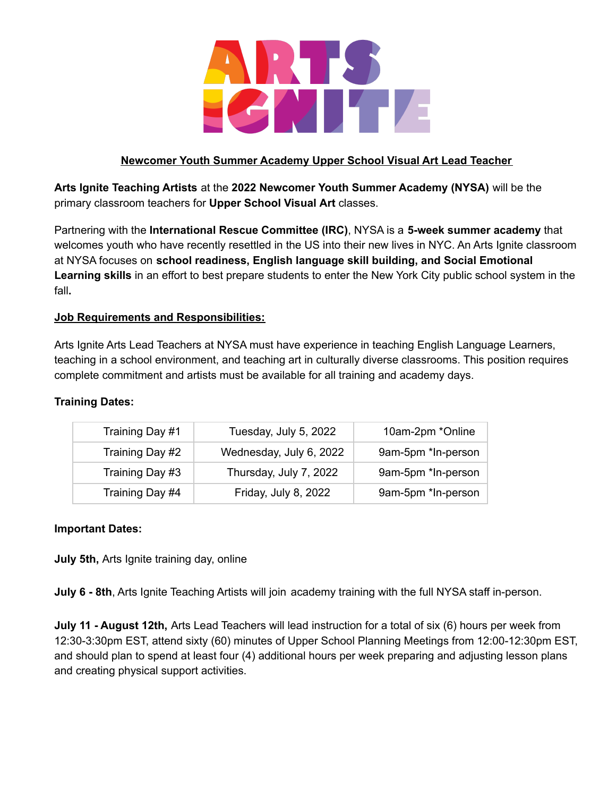

# **Newcomer Youth Summer Academy Upper School Visual Art Lead Teacher**

**Arts Ignite Teaching Artists** at the **2022 Newcomer Youth Summer Academy (NYSA)** will be the primary classroom teachers for **Upper School Visual Art** classes.

Partnering with the **International Rescue Committee (IRC)**, NYSA is a **5-week summer academy** that welcomes youth who have recently resettled in the US into their new lives in NYC. An Arts Ignite classroom at NYSA focuses on **school readiness, English language skill building, and Social Emotional Learning skills** in an effort to best prepare students to enter the New York City public school system in the fall**.**

## **Job Requirements and Responsibilities:**

Arts Ignite Arts Lead Teachers at NYSA must have experience in teaching English Language Learners, teaching in a school environment, and teaching art in culturally diverse classrooms. This position requires complete commitment and artists must be available for all training and academy days.

#### **Training Dates:**

| Training Day #1 | Tuesday, July 5, 2022   | 10am-2pm *Online   |
|-----------------|-------------------------|--------------------|
| Training Day #2 | Wednesday, July 6, 2022 | 9am-5pm *In-person |
| Training Day #3 | Thursday, July 7, 2022  | 9am-5pm *In-person |
| Training Day #4 | Friday, July 8, 2022    | 9am-5pm *In-person |

## **Important Dates:**

**July 5th,** Arts Ignite training day, online

**July 6 - 8th**, Arts Ignite Teaching Artists will join academy training with the full NYSA staff in-person.

**July 11 - August 12th,** Arts Lead Teachers will lead instruction for a total of six (6) hours per week from 12:30-3:30pm EST, attend sixty (60) minutes of Upper School Planning Meetings from 12:00-12:30pm EST, and should plan to spend at least four (4) additional hours per week preparing and adjusting lesson plans and creating physical support activities.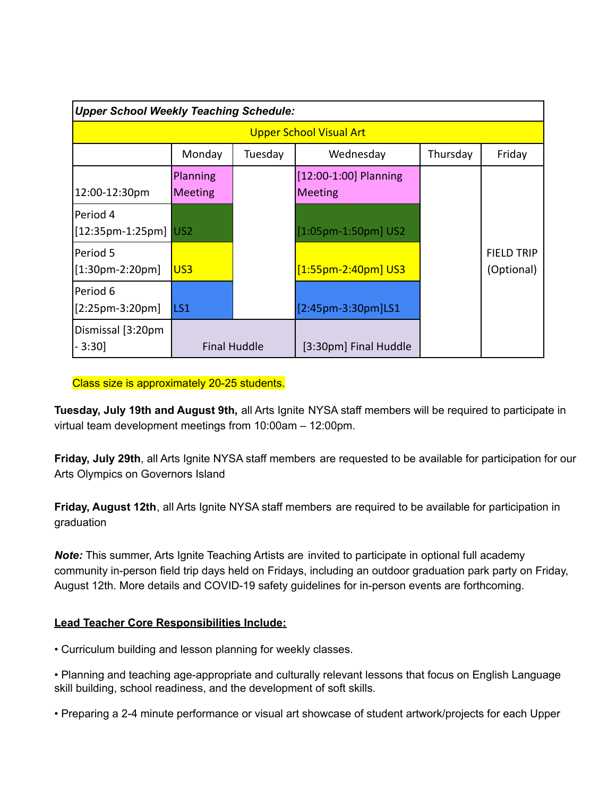| <b>Upper School Weekly Teaching Schedule:</b> |                            |         |                                         |          |                                 |  |  |
|-----------------------------------------------|----------------------------|---------|-----------------------------------------|----------|---------------------------------|--|--|
| <b>Upper School Visual Art</b>                |                            |         |                                         |          |                                 |  |  |
|                                               | Monday                     | Tuesday | Wednesday                               | Thursday | Friday                          |  |  |
| 12:00-12:30pm                                 | Planning<br><b>Meeting</b> |         | [12:00-1:00] Planning<br><b>Meeting</b> |          |                                 |  |  |
| lPeriod 4<br>$[12:35$ pm-1:25pm] $ US2$       |                            |         | $[1:05$ pm-1:50pm] US2                  |          |                                 |  |  |
| lPeriod 5<br>$[1:30$ pm-2:20pm]               | US3                        |         | $[1:55$ pm-2:40pm] US3                  |          | <b>FIELD TRIP</b><br>(Optional) |  |  |
| lPeriod 6<br>$[2:25pm-3:20pm]$                | LS1                        |         | [2:45pm-3:30pm]LS1                      |          |                                 |  |  |
| Dismissal [3:20pm<br>$-3:30$                  | <b>Final Huddle</b>        |         | [3:30pm] Final Huddle                   |          |                                 |  |  |

Class size is approximately 20-25 students.

**Tuesday, July 19th and August 9th,** all Arts Ignite NYSA staff members will be required to participate in virtual team development meetings from 10:00am – 12:00pm.

**Friday, July 29th**, all Arts Ignite NYSA staff members are requested to be available for participation for our Arts Olympics on Governors Island

**Friday, August 12th**, all Arts Ignite NYSA staff members are required to be available for participation in graduation

*Note:* This summer, Arts Ignite Teaching Artists are invited to participate in optional full academy community in-person field trip days held on Fridays, including an outdoor graduation park party on Friday, August 12th. More details and COVID-19 safety guidelines for in-person events are forthcoming.

## **Lead Teacher Core Responsibilities Include:**

• Curriculum building and lesson planning for weekly classes.

• Planning and teaching age-appropriate and culturally relevant lessons that focus on English Language skill building, school readiness, and the development of soft skills.

• Preparing a 2-4 minute performance or visual art showcase of student artwork/projects for each Upper